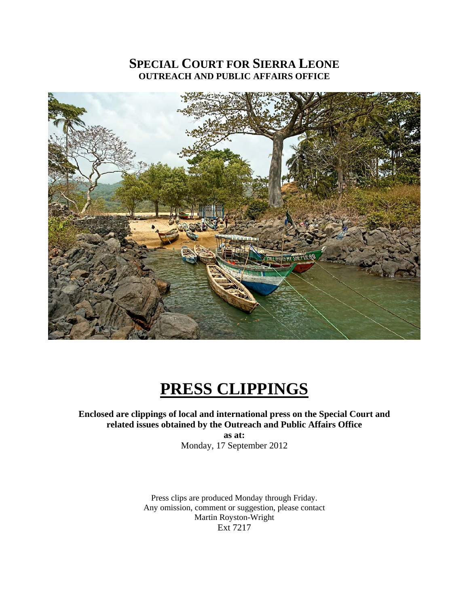## **SPECIAL COURT FOR SIERRA LEONE OUTREACH AND PUBLIC AFFAIRS OFFICE**



# **PRESS CLIPPINGS**

### **Enclosed are clippings of local and international press on the Special Court and related issues obtained by the Outreach and Public Affairs Office**

**as at:**  Monday, 17 September 2012

Press clips are produced Monday through Friday. Any omission, comment or suggestion, please contact Martin Royston-Wright Ext 7217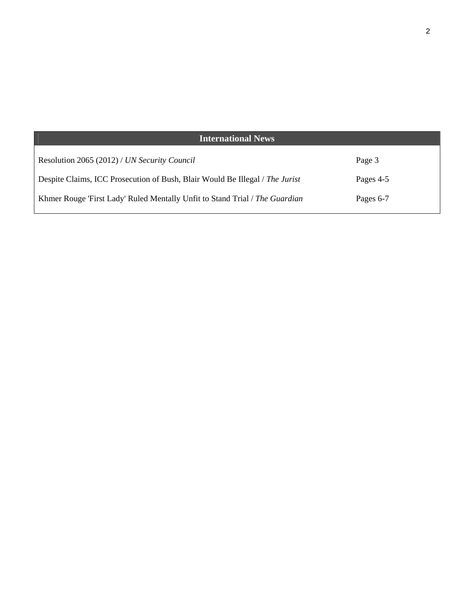| <b>International News</b>                                                    |           |
|------------------------------------------------------------------------------|-----------|
| Resolution 2065 (2012) / UN Security Council                                 | Page 3    |
| Despite Claims, ICC Prosecution of Bush, Blair Would Be Illegal / The Jurist | Pages 4-5 |
| Khmer Rouge 'First Lady' Ruled Mentally Unfit to Stand Trial / The Guardian  | Pages 6-7 |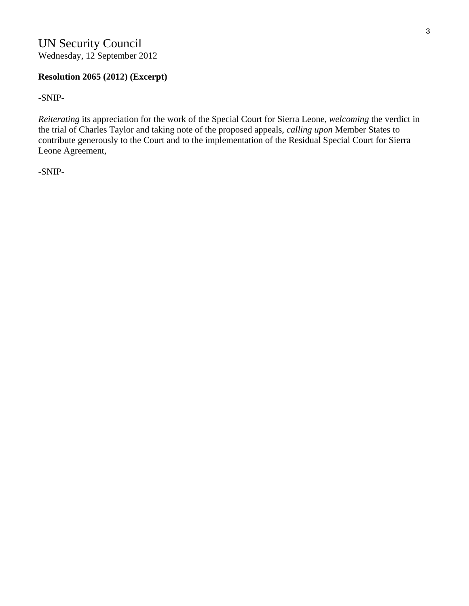### **Resolution 2065 (2012) (Excerpt)**

-SNIP-

*Reiterating* its appreciation for the work of the Special Court for Sierra Leone, *welcoming* the verdict in the trial of Charles Taylor and taking note of the proposed appeals, *calling upon* Member States to contribute generously to the Court and to the implementation of the Residual Special Court for Sierra Leone Agreement,

-SNIP-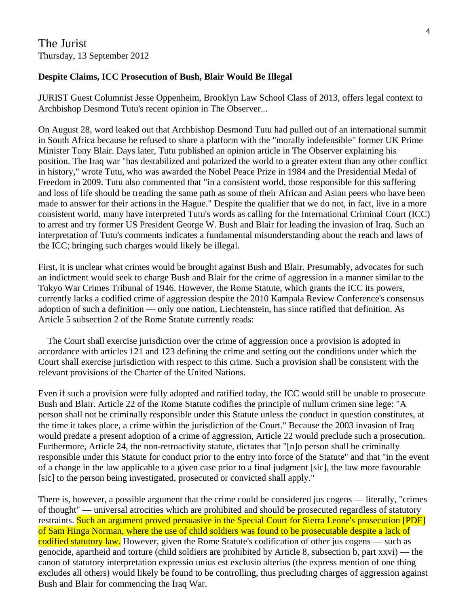#### **Despite Claims, ICC Prosecution of Bush, Blair Would Be Illegal**

JURIST Guest Columnist Jesse Oppenheim, Brooklyn Law School Class of 2013, offers legal context to Archbishop Desmond Tutu's recent opinion in The Observer...

On August 28, word leaked out that Archbishop Desmond Tutu had pulled out of an international summit in South Africa because he refused to share a platform with the "morally indefensible" former UK Prime Minister Tony Blair. Days later, Tutu published an opinion article in The Observer explaining his position. The Iraq war "has destabilized and polarized the world to a greater extent than any other conflict in history," wrote Tutu, who was awarded the Nobel Peace Prize in 1984 and the Presidential Medal of Freedom in 2009. Tutu also commented that "in a consistent world, those responsible for this suffering and loss of life should be treading the same path as some of their African and Asian peers who have been made to answer for their actions in the Hague." Despite the qualifier that we do not, in fact, live in a more consistent world, many have interpreted Tutu's words as calling for the International Criminal Court (ICC) to arrest and try former US President George W. Bush and Blair for leading the invasion of Iraq. Such an interpretation of Tutu's comments indicates a fundamental misunderstanding about the reach and laws of the ICC; bringing such charges would likely be illegal.

First, it is unclear what crimes would be brought against Bush and Blair. Presumably, advocates for such an indictment would seek to charge Bush and Blair for the crime of aggression in a manner similar to the Tokyo War Crimes Tribunal of 1946. However, the Rome Statute, which grants the ICC its powers, currently lacks a codified crime of aggression despite the 2010 Kampala Review Conference's consensus adoption of such a definition — only one nation, Liechtenstein, has since ratified that definition. As Article 5 subsection 2 of the Rome Statute currently reads:

 The Court shall exercise jurisdiction over the crime of aggression once a provision is adopted in accordance with articles 121 and 123 defining the crime and setting out the conditions under which the Court shall exercise jurisdiction with respect to this crime. Such a provision shall be consistent with the relevant provisions of the Charter of the United Nations.

Even if such a provision were fully adopted and ratified today, the ICC would still be unable to prosecute Bush and Blair. Article 22 of the Rome Statute codifies the principle of nullum crimen sine lege: "A person shall not be criminally responsible under this Statute unless the conduct in question constitutes, at the time it takes place, a crime within the jurisdiction of the Court." Because the 2003 invasion of Iraq would predate a present adoption of a crime of aggression, Article 22 would preclude such a prosecution. Furthermore, Article 24, the non-retroactivity statute, dictates that "[n]o person shall be criminally responsible under this Statute for conduct prior to the entry into force of the Statute" and that "in the event of a change in the law applicable to a given case prior to a final judgment [sic], the law more favourable [sic] to the person being investigated, prosecuted or convicted shall apply."

There is, however, a possible argument that the crime could be considered jus cogens — literally, "crimes of thought" — universal atrocities which are prohibited and should be prosecuted regardless of statutory restraints. Such an argument proved persuasive in the Special Court for Sierra Leone's prosecution [PDF] of Sam Hinga Norman, where the use of child soldiers was found to be prosecutable despite a lack of codified statutory law. However, given the Rome Statute's codification of other jus cogens — such as genocide, apartheid and torture (child soldiers are prohibited by Article 8, subsection b, part xxvi) — the canon of statutory interpretation expressio unius est exclusio alterius (the express mention of one thing excludes all others) would likely be found to be controlling, thus precluding charges of aggression against Bush and Blair for commencing the Iraq War.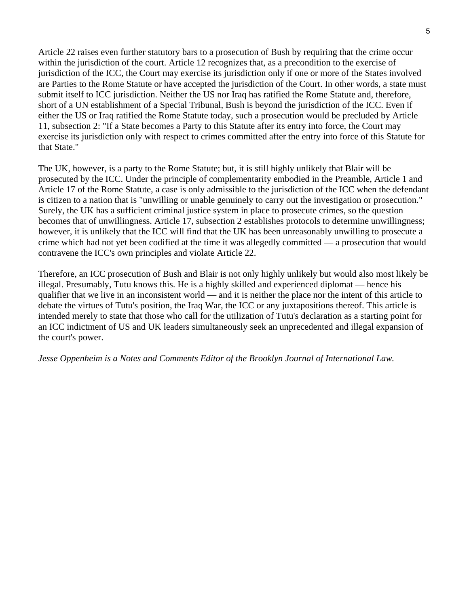Article 22 raises even further statutory bars to a prosecution of Bush by requiring that the crime occur within the jurisdiction of the court. Article 12 recognizes that, as a precondition to the exercise of jurisdiction of the ICC, the Court may exercise its jurisdiction only if one or more of the States involved are Parties to the Rome Statute or have accepted the jurisdiction of the Court. In other words, a state must submit itself to ICC jurisdiction. Neither the US nor Iraq has ratified the Rome Statute and, therefore, short of a UN establishment of a Special Tribunal, Bush is beyond the jurisdiction of the ICC. Even if either the US or Iraq ratified the Rome Statute today, such a prosecution would be precluded by Article 11, subsection 2: "If a State becomes a Party to this Statute after its entry into force, the Court may exercise its jurisdiction only with respect to crimes committed after the entry into force of this Statute for that State."

The UK, however, is a party to the Rome Statute; but, it is still highly unlikely that Blair will be prosecuted by the ICC. Under the principle of complementarity embodied in the Preamble, Article 1 and Article 17 of the Rome Statute, a case is only admissible to the jurisdiction of the ICC when the defendant is citizen to a nation that is "unwilling or unable genuinely to carry out the investigation or prosecution." Surely, the UK has a sufficient criminal justice system in place to prosecute crimes, so the question becomes that of unwillingness. Article 17, subsection 2 establishes protocols to determine unwillingness; however, it is unlikely that the ICC will find that the UK has been unreasonably unwilling to prosecute a crime which had not yet been codified at the time it was allegedly committed — a prosecution that would contravene the ICC's own principles and violate Article 22.

Therefore, an ICC prosecution of Bush and Blair is not only highly unlikely but would also most likely be illegal. Presumably, Tutu knows this. He is a highly skilled and experienced diplomat — hence his qualifier that we live in an inconsistent world — and it is neither the place nor the intent of this article to debate the virtues of Tutu's position, the Iraq War, the ICC or any juxtapositions thereof. This article is intended merely to state that those who call for the utilization of Tutu's declaration as a starting point for an ICC indictment of US and UK leaders simultaneously seek an unprecedented and illegal expansion of the court's power.

#### *Jesse Oppenheim is a Notes and Comments Editor of the Brooklyn Journal of International Law.*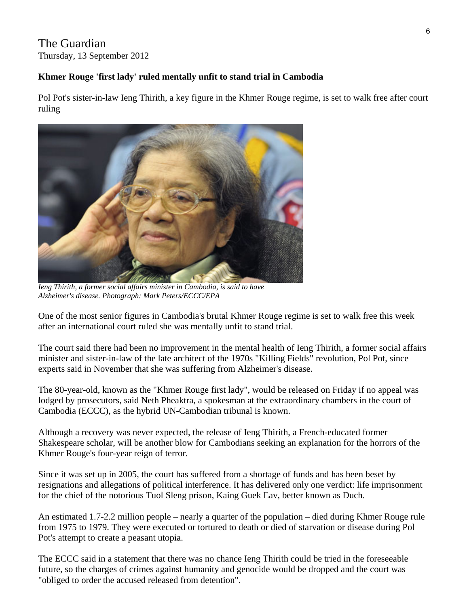### The Guardian Thursday, 13 September 2012

### **Khmer Rouge 'first lady' ruled mentally unfit to stand trial in Cambodia**

Pol Pot's sister-in-law Ieng Thirith, a key figure in the Khmer Rouge regime, is set to walk free after court ruling



 *Ieng Thirith, a former social affairs minister in Cambodia, is said to have Alzheimer's disease. Photograph: Mark Peters/ECCC/EPA* 

One of the most senior figures in Cambodia's brutal Khmer Rouge regime is set to walk free this week after an international court ruled she was mentally unfit to stand trial.

The court said there had been no improvement in the mental health of Ieng Thirith, a former social affairs minister and sister-in-law of the late architect of the 1970s "Killing Fields" revolution, Pol Pot, since experts said in November that she was suffering from Alzheimer's disease.

The 80-year-old, known as the "Khmer Rouge first lady", would be released on Friday if no appeal was lodged by prosecutors, said Neth Pheaktra, a spokesman at the extraordinary chambers in the court of Cambodia (ECCC), as the hybrid UN-Cambodian tribunal is known.

Although a recovery was never expected, the release of Ieng Thirith, a French-educated former Shakespeare scholar, will be another blow for Cambodians seeking an explanation for the horrors of the Khmer Rouge's four-year reign of terror.

Since it was set up in 2005, the court has suffered from a shortage of funds and has been beset by resignations and allegations of political interference. It has delivered only one verdict: life imprisonment for the chief of the notorious Tuol Sleng prison, Kaing Guek Eav, better known as Duch.

An estimated 1.7-2.2 million people – nearly a quarter of the population – died during Khmer Rouge rule from 1975 to 1979. They were executed or tortured to death or died of starvation or disease during Pol Pot's attempt to create a peasant utopia.

The ECCC said in a statement that there was no chance Ieng Thirith could be tried in the foreseeable future, so the charges of crimes against humanity and genocide would be dropped and the court was "obliged to order the accused released from detention".